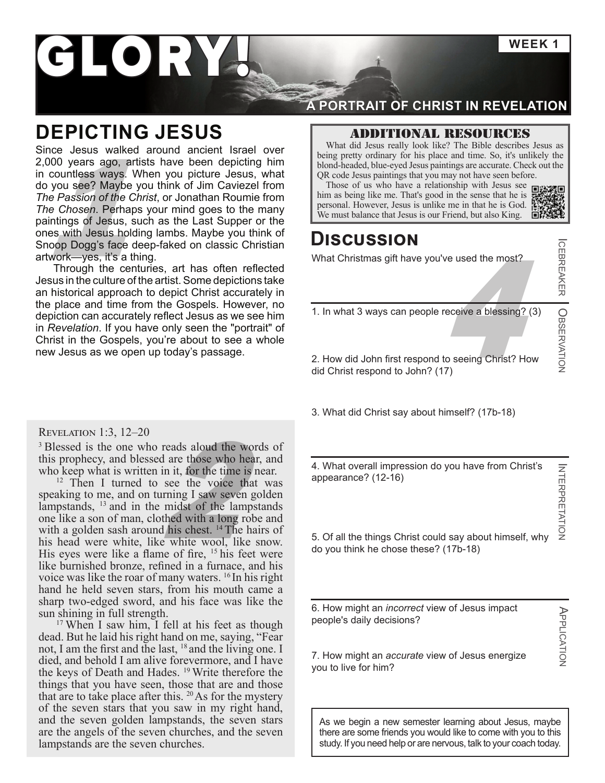**WEEK 1**

ICEBREAKER

OBSERVATION

**CEBREAKER COSSERVATION** 

INTERPRETATION

**INTERPRETATION** 

APPLICATION

APPLICATION

# GLORY

## **DEPICTING JESUS**

bond-headed, blue-eyed Jesus paintings are accurate. Che<br>
bond-headed, blue-eyed Jesus paintings are accurate. Che<br>
bond-headed, blue-eyed Jesus paintings are accurate. Che<br>
bond-headed, blue-eyed Jesus paintings are accur Since Jesus walked around ancient Israel over 2,000 years ago, artists have been depicting him in countless ways. When you picture Jesus, what do you see? Maybe you think of Jim Caviezel from *The Passion of the Christ*, or Jonathan Roumie from *The Chosen*. Perhaps your mind goes to the many paintings of Jesus, such as the Last Supper or the ones with Jesus holding lambs. Maybe you think of Snoop Dogg's face deep-faked on classic Christian artwork—yes, it's a thing.

Through the centuries, art has often reflected Jesus in the culture of the artist. Some depictions take an historical approach to depict Christ accurately in the place and time from the Gospels. However, no depiction can accurately reflect Jesus as we see him in *Revelation*. If you have only seen the "portrait" of Christ in the Gospels, you're about to see a whole new Jesus as we open up today's passage.

#### Revelation 1:3, 12–20

<sup>3</sup> Blessed is the one who reads aloud the words of this prophecy, and blessed are those who hear, and who keep what is written in it, for the time is near.

reads aloud the word<br>d are those who hear,<br>in it, for the time is no<br>see the voice that<br>urning I saw seven go<br>midst of the lampst:<br>thed with a long robe<br>al his chest. <sup>14</sup> The hair <sup>12</sup> Then I turned to see the voice that was speaking to me, and on turning I saw seven golden lampstands, <sup>13</sup> and in the midst of the lampstands one like a son of man, clothed with a long robe and with a golden sash around his chest. <sup>14</sup> The hairs of his head were white, like white wool, like snow. His eyes were like a flame of fire, <sup>15</sup> his feet were like burnished bronze, refined in a furnace, and his voice was like the roar of many waters. 16 In his right hand he held seven stars, from his mouth came a sharp two-edged sword, and his face was like the sun shining in full strength.

<sup>17</sup> When I saw him, I fell at his feet as though dead. But he laid his right hand on me, saying, "Fear not, I am the first and the last, <sup>18</sup> and the living one. I died, and behold I am alive forevermore, and I have the keys of Death and Hades. 19 Write therefore the things that you have seen, those that are and those that are to take place after this.  $20$  As for the mystery of the seven stars that you saw in my right hand, and the seven golden lampstands, the seven stars are the angels of the seven churches, and the seven lampstands are the seven churches.

### **A PORTRAIT OF CHRIST IN REVELATION**

Additional resources

What did Jesus really look like? The Bible describes Jesus as being pretty ordinary for his place and time. So, it's unlikely the blond-headed, blue-eyed Jesus paintings are accurate. Check out the QR code Jesus paintings that you may not have seen before.

Those of us who have a relationship with Jesus see **the state** him as being like me. That's good in the sense that he i[s](https://m.koreatimes.co.kr/pages/article.asp?newsIdx=27288) 

### **Discussion**

What Christmas gift have you've used the most?

receive a blessing? (3) 1. In what 3 ways can people receive a blessing? (3)

2. How did John first respond to seeing Christ? How did Christ respond to John? (17)

3. What did Christ say about himself? (17b-18)

4. What overall impression do you have from Christ's appearance? (12-16)

5. Of all the things Christ could say about himself, why do you think he chose these? (17b-18)

6. How might an *incorrect* view of Jesus impact people's daily decisions?

7. How might an *accurate* view of Jesus energize you to live for him?

As we begin a new semester learning about Jesus, maybe there are some friends you would like to come with you to this study. If you need help or are nervous, talk to your coach today.